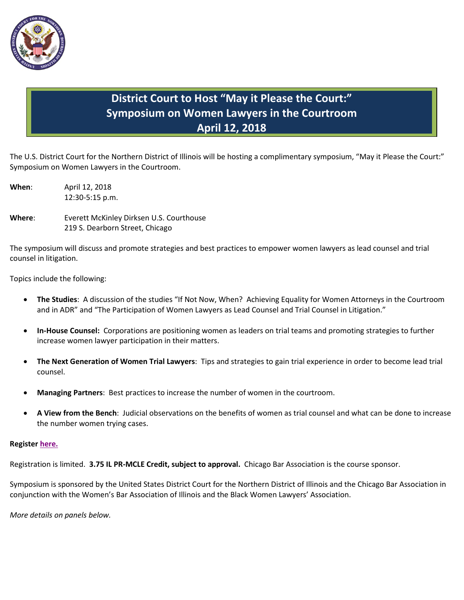

# **District Court to Host "May it Please the Court:" Symposium on Women Lawyers in the Courtroom April 12, 2018**

The U.S. District Court for the Northern District of Illinois will be hosting a complimentary symposium, "May it Please the Court:" Symposium on Women Lawyers in the Courtroom.

**When**: April 12, 2018 12:30-5:15 p.m.

**Where**: Everett McKinley Dirksen U.S. Courthouse 219 S. Dearborn Street, Chicago

The symposium will discuss and promote strategies and best practices to empower women lawyers as lead counsel and trial counsel in litigation.

Topics include the following:

- **The Studies**: A discussion of the studies "If Not Now, When? Achieving Equality for Women Attorneys in the Courtroom and in ADR" and "The Participation of Women Lawyers as Lead Counsel and Trial Counsel in Litigation."
- **In-House Counsel:** Corporations are positioning women as leaders on trial teams and promoting strategies to further increase women lawyer participation in their matters.
- **The Next Generation of Women Trial Lawyers**: Tips and strategies to gain trial experience in order to become lead trial counsel.
- **Managing Partners**: Best practices to increase the number of women in the courtroom.
- **A View from the Bench**: Judicial observations on the benefits of women as trial counsel and what can be done to increase the number women trying cases.

## **Register [here.](https://tinyurl.com/2018MayitPleasetheCourt)**

Registration is limited. **3.75 IL PR-MCLE Credit, subject to approval.** Chicago Bar Association is the course sponsor.

Symposium is sponsored by the United States District Court for the Northern District of Illinois and the Chicago Bar Association in conjunction with the Women's Bar Association of Illinois and the Black Women Lawyers' Association.

*More details on panels below.*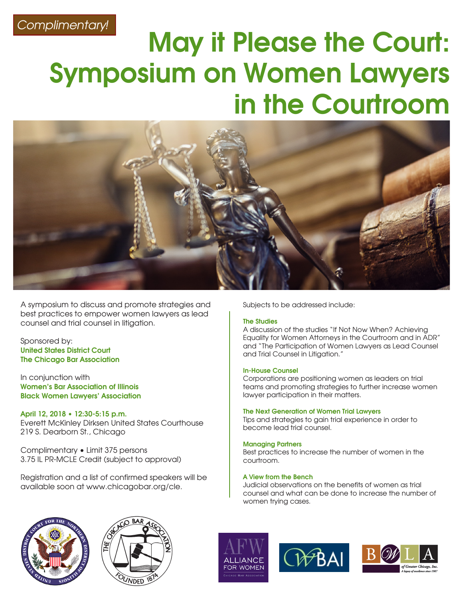# Complimentary!

# May it Please the Court: Symposium on Women Lawyers in the Courtroom



A symposium to discuss and promote strategies and best practices to empower women lawyers as lead counsel and trial counsel in litigation.

Sponsored by: United States District Court The Chicago Bar Association

In conjunction with Women's Bar Association of Illinois Black Women Lawyers' Association

April 12, 2018 • 12:30-5:15 p.m. Everett McKinley Dirksen United States Courthouse 219 S. Dearborn St., Chicago

Complimentary • Limit 375 persons 3.75 IL PR-MCLE Credit (subject to approval)

Registration and a list of confirmed speakers will be available soon at [www.chicagobar.org/cle.](http://www.chicagobar.org/source/Meetings/cMeetingFunctionDetail.cfm?section=Calendar&product_major=C14318&functionstartdisplayrow=1)

Subjects to be addressed include:

#### The Studies

A discussion of the studies "If Not Now When? Achieving Equality for Women Attorneys in the Courtroom and in ADR" and "The Participation of Women Lawyers as Lead Counsel and Trial Counsel in Litigation."

#### In-House Counsel

Corporations are positioning women as leaders on trial teams and promoting strategies to further increase women lawyer participation in their matters.

#### The Next Generation of Women Trial Lawyers

Tips and strategies to gain trial experience in order to become lead trial counsel.

#### Managing Partners

Best practices to increase the number of women in the courtroom.

#### A View from the Bench

Judicial observations on the benefits of women as trial counsel and what can be done to increase the number of women trying cases.









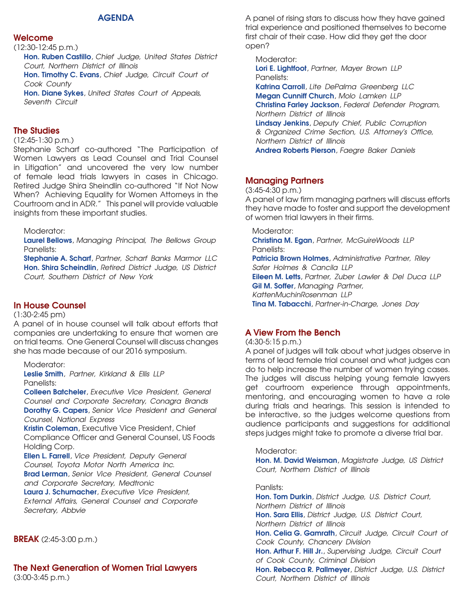## **AGENDA**

#### Welcome

(12:30-12:45 p.m.)

Hon. Ruben Castillo, Chief Judge, United States District Court, Northern District of Illinois Hon. Timothy C. Evans, Chief Judge, Circuit Court of Cook County Hon. Diane Sykes, United States Court of Appeals,

Seventh Circuit

## The Studies

#### (12:45-1:30 p.m.)

Stephanie Scharf co-authored "The Participation of Women Lawyers as Lead Counsel and Trial Counsel in Litigation" and uncovered the very low number of female lead trials lawyers in cases in Chicago. Retired Judge Shira Sheindlin co-authored "If Not Now When? Achieving Equality for Women Attorneys in the Courtroom and in ADR." This panel will provide valuable insights from these important studies.

Moderator:

Laurel Bellows, Managing Principal, The Bellows Group Panelists:

Stephanie A. Scharf, Partner, Scharf Banks Marmor LLC Hon. Shira Scheindlin, Retired District Judge, US District Court, Southern District of New York

#### In House Counsel

#### (1:30-2:45 pm)

A panel of in house counsel will talk about efforts that companies are undertaking to ensure that women are on trial teams. One General Counsel will discuss changes she has made because of our 2016 symposium.

Moderator:

Leslie Smith, Partner, Kirkland & Ellis LLP Panelists:

Colleen Batcheler, Executive Vice President, General Counsel and Corporate Secretary, Conagra Brands Dorothy G. Capers, Senior Vice President and General Counsel, National Express

Kristin Coleman, Executive Vice President, Chief Compliance Officer and General Counsel, US Foods Holding Corp.

Ellen L. Farrell, Vice President, Deputy General Counsel, Toyota Motor North America Inc. **Brad Lerman**, Senior Vice President, General Counsel and Corporate Secretary, Medtronic

Laura J. Schumacher, Executive Vice President, External Affairs, General Counsel and Corporate Secretary, Abbvie

**BREAK** (2:45-3:00 p.m.)

# The Next Generation of Women Trial Lawyers

(3:00-3:45 p.m.)

A panel of rising stars to discuss how they have gained trial experience and positioned themselves to become first chair of their case. How did they get the door open?

Moderator:

Lori E. Lightfoot, Partner, Mayer Brown LLP Panelists:

Katrina Carroll, Lite DePalma Greenberg LLC Megan Cunniff Church, Molo Lamken LLP

Christina Farley Jackson, Federal Defender Program, Northern District of Illinois

Lindsay Jenkins, Deputy Chief, Public Corruption & Organized Crime Section, U.S. Attorney's Office, Northern District of Illinois Andrea Roberts Pierson, Faegre Baker Daniels

## Managing Partners

(3:45-4:30 p.m.)

A panel of law firm managing partners will discuss efforts they have made to foster and support the development of women trial lawyers in their firms.

Moderator: Christina M. Egan, Partner, McGuireWoods LLP Panelists: Patricia Brown Holmes, Administrative Partner, Riley Safer Holmes & Cancila LLP Eileen M. Letts, Partner, Zuber Lawler & Del Duca LLP Gil M. Soffer, Managing Partner, KattenMuchinRosenman LLP Tina M. Tabacchi, Partner-in-Charge, Jones Day

# A View From the Bench

#### (4:30-5:15 p.m.)

A panel of judges will talk about what judges observe in terms of lead female trial counsel and what judges can do to help increase the number of women trying cases. The judges will discuss helping young female lawyers get courtroom experience through appointments, mentoring, and encouraging women to have a role during trials and hearings. This session is intended to be interactive, so the judges welcome questions from audience participants and suggestions for additional steps judges might take to promote a diverse trial bar.

#### Moderator:

Hon. M. David Weisman, Magistrate Judge, US District Court, Northern District of Illinois

#### Panlists:

Hon. Tom Durkin, District Judge, U.S. District Court, Northern District of Illinois Hon. Sara Ellis, District Judge, U.S. District Court, Northern District of Illinois Hon. Celia G. Gamrath, Circuit Judge, Circuit Court of Cook County, Chancery Division Hon. Arthur F. Hill Jr., Supervising Judge, Circuit Court of Cook County, Criminal Division Hon. Rebecca R. Pallmeyer, District Judge, U.S. District Court, Northern District of Illinois